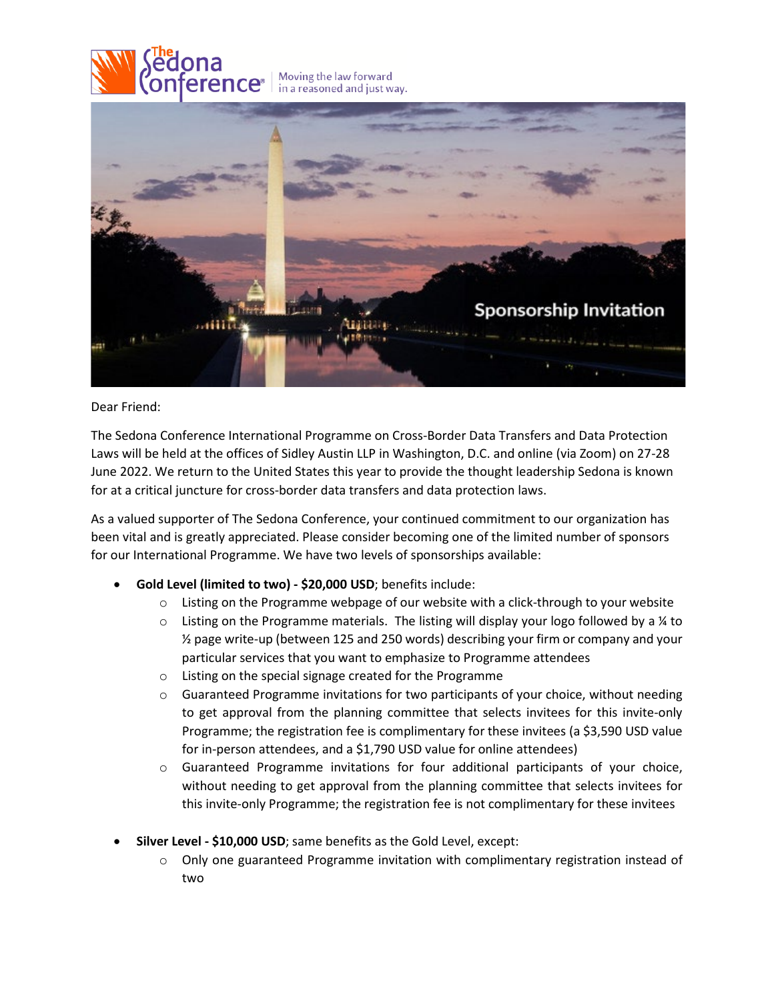

## Dear Friend:

The Sedona Conference International Programme on Cross-Border Data Transfers and Data Protection Laws will be held at the offices of Sidley Austin LLP in Washington, D.C. and online (via Zoom) on 27-28 June 2022. We return to the United States this year to provide the thought leadership Sedona is known for at a critical juncture for cross-border data transfers and data protection laws.

As a valued supporter of The Sedona Conference, your continued commitment to our organization has been vital and is greatly appreciated. Please consider becoming one of the limited number of sponsors for our International Programme. We have two levels of sponsorships available:

- **Gold Level (limited to two) - \$20,000 USD**; benefits include:
	- $\circ$  Listing on the Programme webpage of our website with a click-through to your website
	- $\circ$  Listing on the Programme materials. The listing will display your logo followed by a ¼ to ½ page write-up (between 125 and 250 words) describing your firm or company and your particular services that you want to emphasize to Programme attendees
	- o Listing on the special signage created for the Programme
	- $\circ$  Guaranteed Programme invitations for two participants of your choice, without needing to get approval from the planning committee that selects invitees for this invite-only Programme; the registration fee is complimentary for these invitees (a \$3,590 USD value for in-person attendees, and a \$1,790 USD value for online attendees)
	- $\circ$  Guaranteed Programme invitations for four additional participants of your choice, without needing to get approval from the planning committee that selects invitees for this invite-only Programme; the registration fee is not complimentary for these invitees
- **Silver Level - \$10,000 USD**; same benefits as the Gold Level, except:
	- $\circ$  Only one guaranteed Programme invitation with complimentary registration instead of two